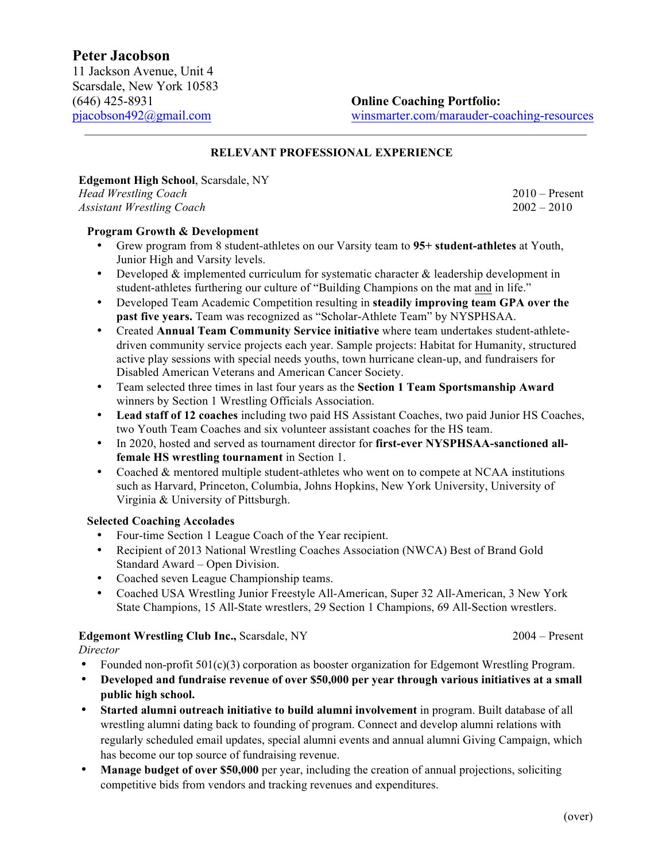#### **RELEVANT PROFESSIONAL EXPERIENCE**

# **Edgemont High School**, Scarsdale, NY

*Head Wrestling Coach* 2010 – Present *Assistant Wrestling Coach* 2002 – 2010

#### **Program Growth & Development**

- Grew program from 8 student-athletes on our Varsity team to **95+ student-athletes** at Youth, Junior High and Varsity levels.
- Developed & implemented curriculum for systematic character & leadership development in student-athletes furthering our culture of "Building Champions on the mat and in life."
- Developed Team Academic Competition resulting in **steadily improving team GPA over the past five years.** Team was recognized as "Scholar-Athlete Team" by NYSPHSAA.
- Created **Annual Team Community Service initiative** where team undertakes student-athletedriven community service projects each year. Sample projects: Habitat for Humanity, structured active play sessions with special needs youths, town hurricane clean-up, and fundraisers for Disabled American Veterans and American Cancer Society.
- Team selected three times in last four years as the **Section 1 Team Sportsmanship Award** winners by Section 1 Wrestling Officials Association.
- **Lead staff of 12 coaches** including two paid HS Assistant Coaches, two paid Junior HS Coaches, two Youth Team Coaches and six volunteer assistant coaches for the HS team.
- In 2020, hosted and served as tournament director for **first-ever NYSPHSAA-sanctioned allfemale HS wrestling tournament** in Section 1.
- Coached & mentored multiple student-athletes who went on to compete at NCAA institutions such as Harvard, Princeton, Columbia, Johns Hopkins, New York University, University of Virginia & University of Pittsburgh.

#### **Selected Coaching Accolades**

- Four-time Section 1 League Coach of the Year recipient.
- Recipient of 2013 National Wrestling Coaches Association (NWCA) Best of Brand Gold Standard Award – Open Division.
- Coached seven League Championship teams.
- Coached USA Wrestling Junior Freestyle All-American, Super 32 All-American, 3 New York State Champions, 15 All-State wrestlers, 29 Section 1 Champions, 69 All-Section wrestlers.

## **Edgemont Wrestling Club Inc.,** Scarsdale, NY 2004 – Present

*Director*

- Founded non-profit 501(c)(3) corporation as booster organization for Edgemont Wrestling Program.
- **Developed and fundraise revenue of over \$50,000 per year through various initiatives at a small public high school.**
- **Started alumni outreach initiative to build alumni involvement** in program. Built database of all wrestling alumni dating back to founding of program. Connect and develop alumni relations with regularly scheduled email updates, special alumni events and annual alumni Giving Campaign, which has become our top source of fundraising revenue.
- **Manage budget of over \$50,000** per year, including the creation of annual projections, soliciting competitive bids from vendors and tracking revenues and expenditures.